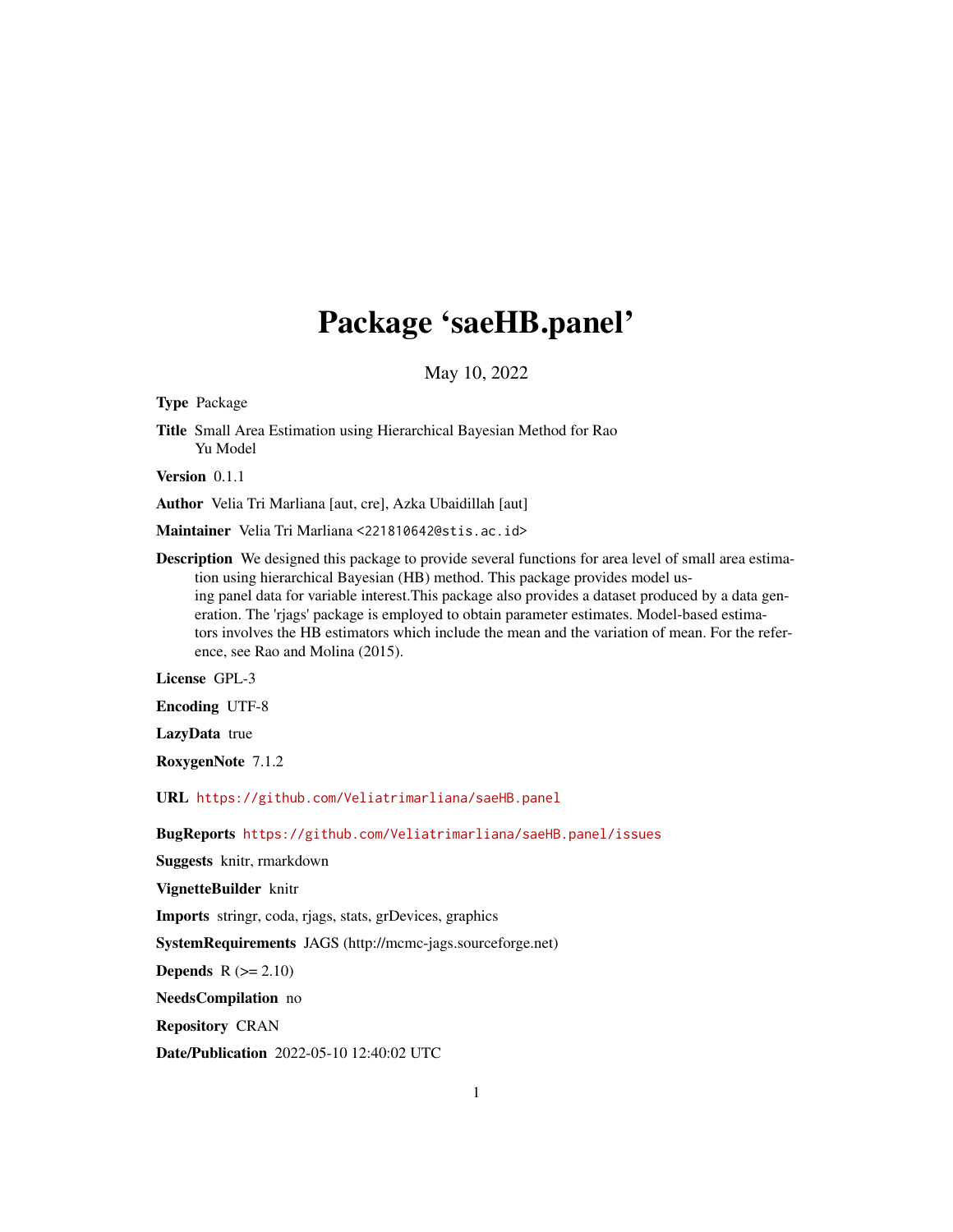# Package 'saeHB.panel'

May 10, 2022

Type Package

Title Small Area Estimation using Hierarchical Bayesian Method for Rao Yu Model

Version 0.1.1

Author Velia Tri Marliana [aut, cre], Azka Ubaidillah [aut]

Maintainer Velia Tri Marliana <221810642@stis.ac.id>

Description We designed this package to provide several functions for area level of small area estimation using hierarchical Bayesian (HB) method. This package provides model using panel data for variable interest.This package also provides a dataset produced by a data generation. The 'rjags' package is employed to obtain parameter estimates. Model-based estimators involves the HB estimators which include the mean and the variation of mean. For the reference, see Rao and Molina (2015).

License GPL-3

Encoding UTF-8

LazyData true

RoxygenNote 7.1.2

URL <https://github.com/Veliatrimarliana/saeHB.panel>

BugReports <https://github.com/Veliatrimarliana/saeHB.panel/issues>

Suggests knitr, rmarkdown

VignetteBuilder knitr

Imports stringr, coda, rjags, stats, grDevices, graphics

SystemRequirements JAGS (http://mcmc-jags.sourceforge.net)

**Depends**  $R (= 2.10)$ 

NeedsCompilation no

Repository CRAN

Date/Publication 2022-05-10 12:40:02 UTC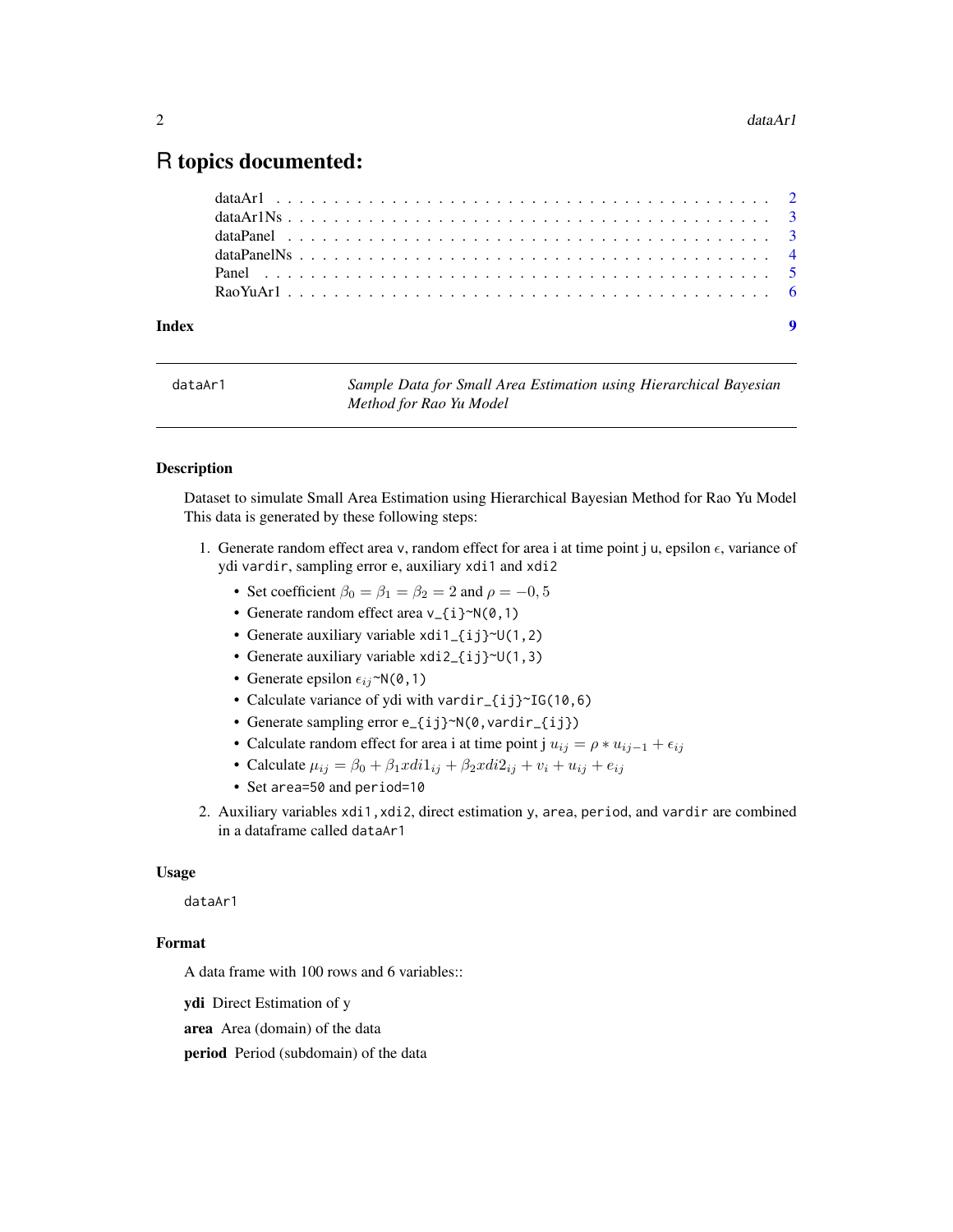# <span id="page-1-0"></span>R topics documented:

| Index |  |  |  |  |  |  |  |  |  |  |  |  |  |  |  |  |  |  |  |  |
|-------|--|--|--|--|--|--|--|--|--|--|--|--|--|--|--|--|--|--|--|--|
|       |  |  |  |  |  |  |  |  |  |  |  |  |  |  |  |  |  |  |  |  |
|       |  |  |  |  |  |  |  |  |  |  |  |  |  |  |  |  |  |  |  |  |
|       |  |  |  |  |  |  |  |  |  |  |  |  |  |  |  |  |  |  |  |  |
|       |  |  |  |  |  |  |  |  |  |  |  |  |  |  |  |  |  |  |  |  |
|       |  |  |  |  |  |  |  |  |  |  |  |  |  |  |  |  |  |  |  |  |
|       |  |  |  |  |  |  |  |  |  |  |  |  |  |  |  |  |  |  |  |  |

| dataAr1 | Sample Data for Small Area Estimation using Hierarchical Bayesian |
|---------|-------------------------------------------------------------------|
|         | Method for Rao Yu Model                                           |

#### Description

Dataset to simulate Small Area Estimation using Hierarchical Bayesian Method for Rao Yu Model This data is generated by these following steps:

- 1. Generate random effect area v, random effect for area i at time point j u, epsilon  $\epsilon$ , variance of ydi vardir, sampling error e, auxiliary xdi1 and xdi2
	- Set coefficient  $\beta_0 = \beta_1 = \beta_2 = 2$  and  $\rho = -0, 5$
	- Generate random effect area  $v_{-1}$   $\rightarrow$   $N(0,1)$
	- Generate auxiliary variable  $x\text{di1}_{i}$  ij $\text{Cu}(1,2)$
	- Generate auxiliary variable xdi2\_{ij}~U(1,3)
	- Generate epsilon  $\epsilon_{ij}$ ~N(0,1)
	- Calculate variance of ydi with vardir\_{ij}~IG(10,6)
	- Generate sampling error e\_{ij}~N(0, vardir\_{ij})
	- Calculate random effect for area i at time point j  $u_{ij} = \rho * u_{ij-1} + \epsilon_{ij}$
	- Calculate  $\mu_{ij} = \beta_0 + \beta_1 x \, di1_{ij} + \beta_2 x \, di2_{ij} + v_i + u_{ij} + e_{ij}$
	- Set area=50 and period=10
- 2. Auxiliary variables xdi1,xdi2, direct estimation y, area, period, and vardir are combined in a dataframe called dataAr1

#### Usage

dataAr1

## Format

A data frame with 100 rows and 6 variables::

ydi Direct Estimation of y

area Area (domain) of the data

period Period (subdomain) of the data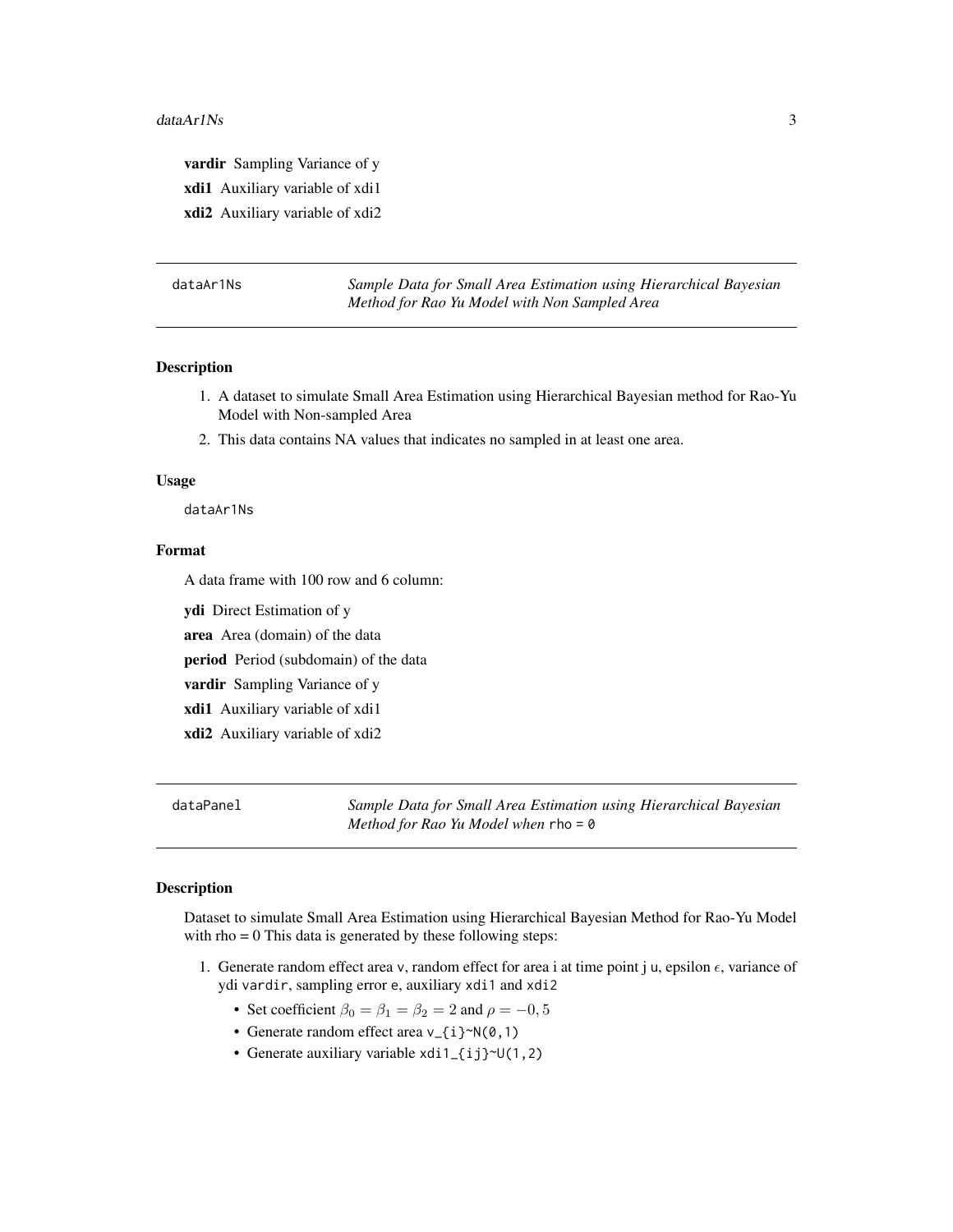<span id="page-2-0"></span>vardir Sampling Variance of y xdi1 Auxiliary variable of xdi1 xdi2 Auxiliary variable of xdi2

| dataAr1Ns |  |
|-----------|--|
|-----------|--|

Sample Data for Small Area Estimation using Hierarchical Bayesian *Method for Rao Yu Model with Non Sampled Area*

# Description

- 1. A dataset to simulate Small Area Estimation using Hierarchical Bayesian method for Rao-Yu Model with Non-sampled Area
- 2. This data contains NA values that indicates no sampled in at least one area.

#### Usage

dataAr1Ns

#### Format

A data frame with 100 row and 6 column:

ydi Direct Estimation of y

area Area (domain) of the data

period Period (subdomain) of the data

vardir Sampling Variance of y

xdi1 Auxiliary variable of xdi1

xdi2 Auxiliary variable of xdi2

dataPanel *Sample Data for Small Area Estimation using Hierarchical Bayesian Method for Rao Yu Model when* rho = 0

## Description

Dataset to simulate Small Area Estimation using Hierarchical Bayesian Method for Rao-Yu Model with  $rho = 0$  This data is generated by these following steps:

- 1. Generate random effect area v, random effect for area i at time point j u, epsilon  $\epsilon$ , variance of ydi vardir, sampling error e, auxiliary xdi1 and xdi2
	- Set coefficient  $\beta_0 = \beta_1 = \beta_2 = 2$  and  $\rho = -0, 5$
	- Generate random effect area v\_{i}~N(0,1)
	- Generate auxiliary variable xdi1\_{ij}~U(1,2)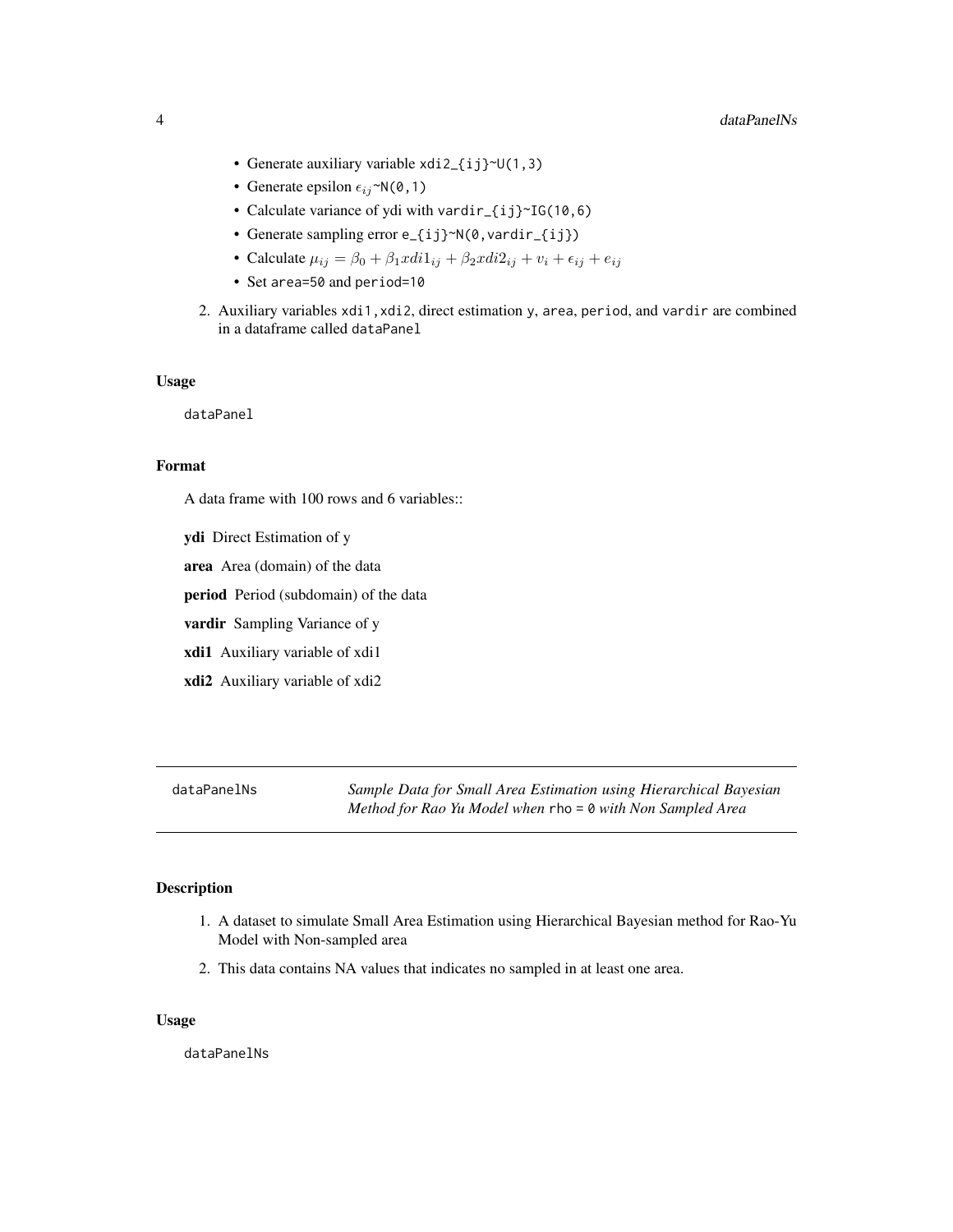- <span id="page-3-0"></span>• Generate auxiliary variable xdi2\_{ij}~U(1,3)
- Generate epsilon  $\epsilon_{ij}$ ~N(0,1)
- Calculate variance of ydi with vardir\_{ij}~IG(10,6)
- Generate sampling error e\_{ij}~N(0, vardir\_{ij})
- Calculate  $\mu_{ij} = \beta_0 + \beta_1 xdi1_{ij} + \beta_2 xdi2_{ij} + v_i + \epsilon_{ij} + e_{ij}$
- Set area=50 and period=10
- 2. Auxiliary variables xdi1,xdi2, direct estimation y, area, period, and vardir are combined in a dataframe called dataPanel

#### Usage

dataPanel

# Format

A data frame with 100 rows and 6 variables::

ydi Direct Estimation of y area Area (domain) of the data period Period (subdomain) of the data vardir Sampling Variance of y xdi1 Auxiliary variable of xdi1 xdi2 Auxiliary variable of xdi2

dataPanelNs *Sample Data for Small Area Estimation using Hierarchical Bayesian Method for Rao Yu Model when* rho = 0 *with Non Sampled Area*

## Description

- 1. A dataset to simulate Small Area Estimation using Hierarchical Bayesian method for Rao-Yu Model with Non-sampled area
- 2. This data contains NA values that indicates no sampled in at least one area.

#### Usage

dataPanelNs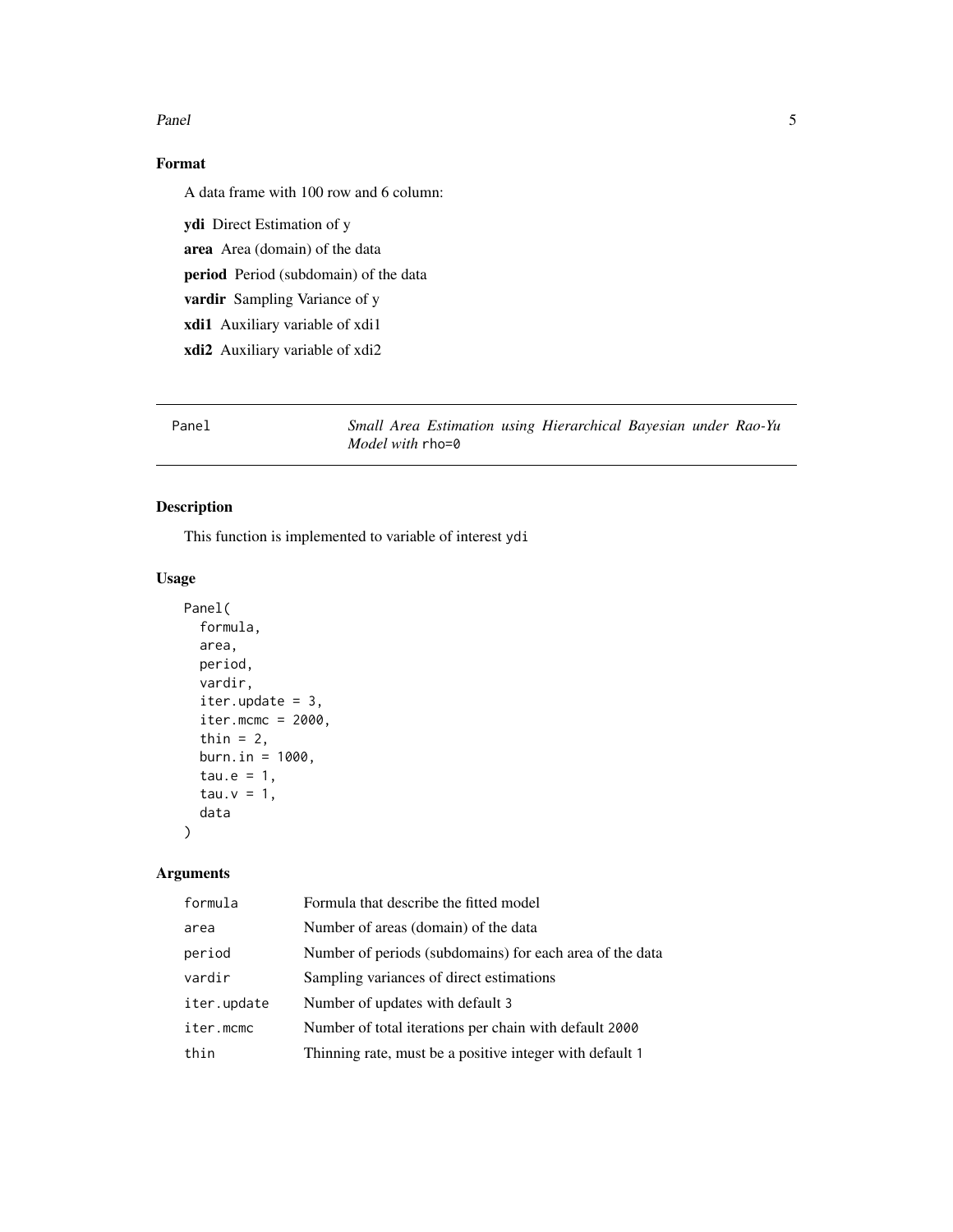#### <span id="page-4-0"></span>Panel 5 and 5 and 5 and 5 and 5 and 5 and 5 and 5 and 5 and 5 and 5 and 5 and 5 and 5 and 5 and 5 and 5 and 5 and 5 and 5 and 5 and 5 and 5 and 5 and 5 and 5 and 5 and 5 and 5 and 5 and 5 and 5 and 5 and 5 and 5 and 5 and

# Format

A data frame with 100 row and 6 column:

ydi Direct Estimation of y area Area (domain) of the data period Period (subdomain) of the data vardir Sampling Variance of y xdi1 Auxiliary variable of xdi1 xdi2 Auxiliary variable of xdi2

Panel *Small Area Estimation using Hierarchical Bayesian under Rao-Yu Model with* rho=0

# Description

This function is implemented to variable of interest ydi

#### Usage

```
Panel(
  formula,
  area,
 period,
  vardir,
  iter.update = 3,
  iter.mcmc = 2000,thin = 2,
 burn.in = 1000,
  tau.e = 1,
  tau.v = 1,
  data
```
# Arguments

)

| formula     | Formula that describe the fitted model                   |
|-------------|----------------------------------------------------------|
| area        | Number of areas (domain) of the data                     |
| period      | Number of periods (subdomains) for each area of the data |
| vardir      | Sampling variances of direct estimations                 |
| iter.update | Number of updates with default 3                         |
| iter.mcmc   | Number of total iterations per chain with default 2000   |
| thin        | Thinning rate, must be a positive integer with default 1 |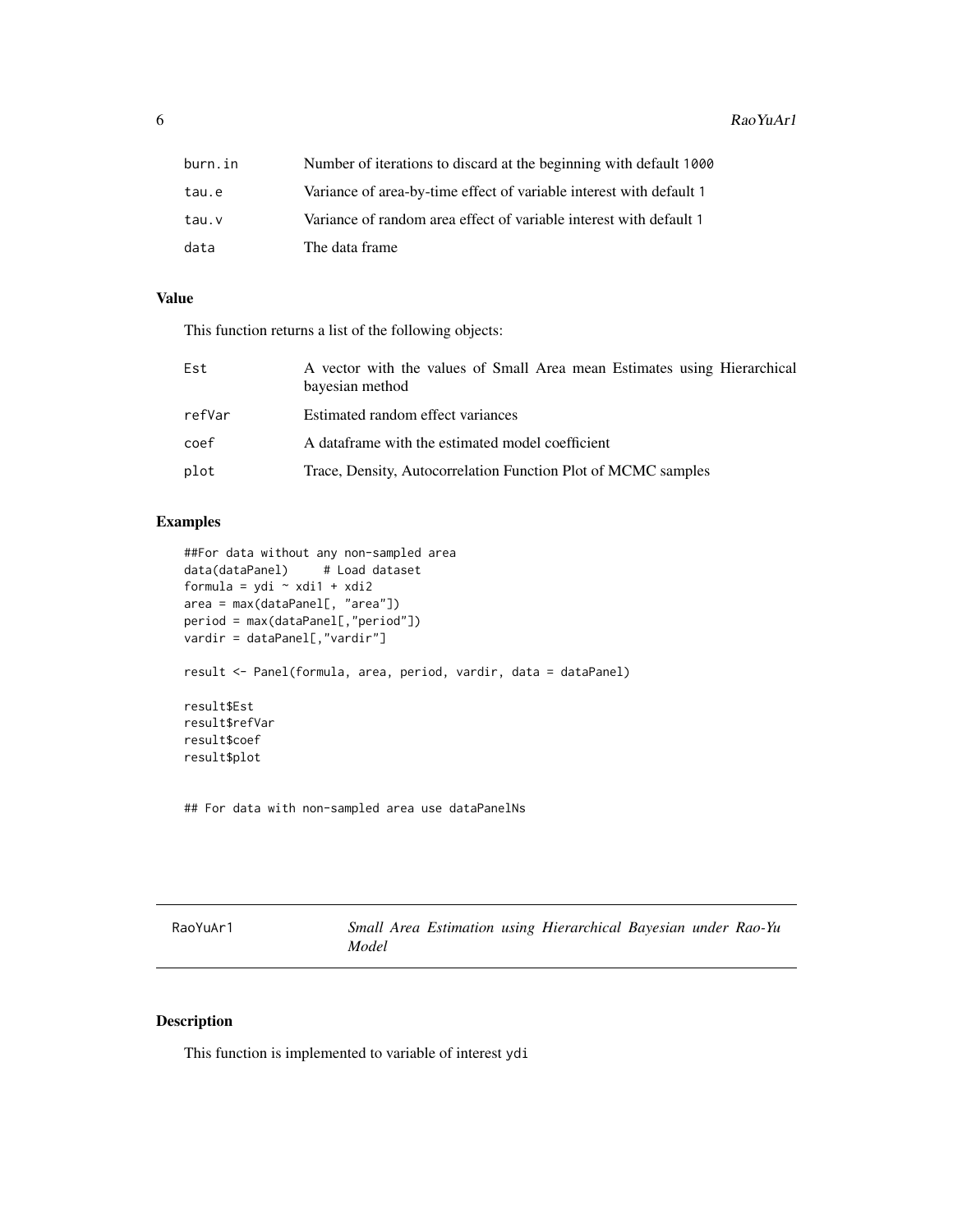<span id="page-5-0"></span> $6$  RaoYuAr1

| burn.in | Number of iterations to discard at the beginning with default 1000  |
|---------|---------------------------------------------------------------------|
| tau.e   | Variance of area-by-time effect of variable interest with default 1 |
| tau.v   | Variance of random area effect of variable interest with default 1  |
| data    | The data frame                                                      |

# Value

This function returns a list of the following objects:

| Est    | A vector with the values of Small Area mean Estimates using Hierarchical<br>bayesian method |
|--------|---------------------------------------------------------------------------------------------|
| refVar | Estimated random effect variances                                                           |
| coef   | A dataframe with the estimated model coefficient                                            |
| plot   | Trace, Density, Autocorrelation Function Plot of MCMC samples                               |

# Examples

```
##For data without any non-sampled area
data(dataPanel) # Load dataset
formula = ydi ~ xdi1 + xdi2
area = max(dataPanel[, "area"])
period = max(dataPanel[,"period"])
vardir = dataPanel[,"vardir"]
result <- Panel(formula, area, period, vardir, data = dataPanel)
result$Est
result$refVar
result$coef
result$plot
```
## For data with non-sampled area use dataPanelNs

| RaoYuAr1 |       |  | Small Area Estimation using Hierarchical Bayesian under Rao-Yu |  |  |
|----------|-------|--|----------------------------------------------------------------|--|--|
|          | Model |  |                                                                |  |  |

# Description

This function is implemented to variable of interest ydi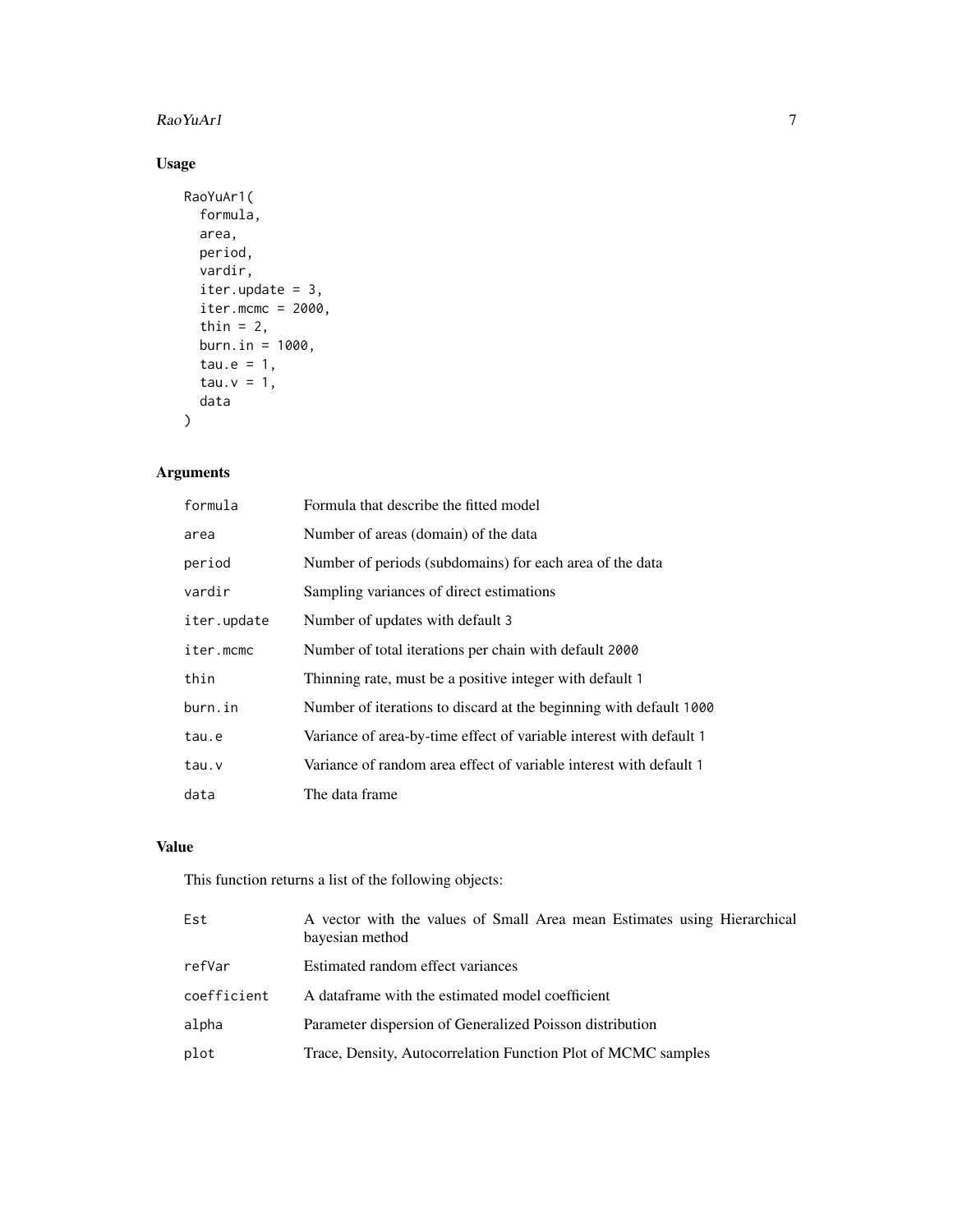#### RaoYuAr1 7

# Usage

```
RaoYuAr1(
  formula,
 area,
 period,
 vardir,
 iter.update = 3,iter.mcmc = 2000,thin = 2,
 burn.in = 1000,
  tau.e = 1,
  tau.v = 1,
 data
)
```
# Arguments

| formula     | Formula that describe the fitted model                              |
|-------------|---------------------------------------------------------------------|
| area        | Number of areas (domain) of the data                                |
| period      | Number of periods (subdomains) for each area of the data            |
| vardir      | Sampling variances of direct estimations                            |
| iter.update | Number of updates with default 3                                    |
| iter.mcmc   | Number of total iterations per chain with default 2000              |
| thin        | Thinning rate, must be a positive integer with default 1            |
| burn.in     | Number of iterations to discard at the beginning with default 1000  |
| tau.e       | Variance of area-by-time effect of variable interest with default 1 |
| tau.v       | Variance of random area effect of variable interest with default 1  |
| data        | The data frame                                                      |

# Value

This function returns a list of the following objects:

| Est         | A vector with the values of Small Area mean Estimates using Hierarchical<br>bayesian method |
|-------------|---------------------------------------------------------------------------------------------|
| refVar      | Estimated random effect variances                                                           |
| coefficient | A dataframe with the estimated model coefficient                                            |
| alpha       | Parameter dispersion of Generalized Poisson distribution                                    |
| plot        | Trace, Density, Autocorrelation Function Plot of MCMC samples                               |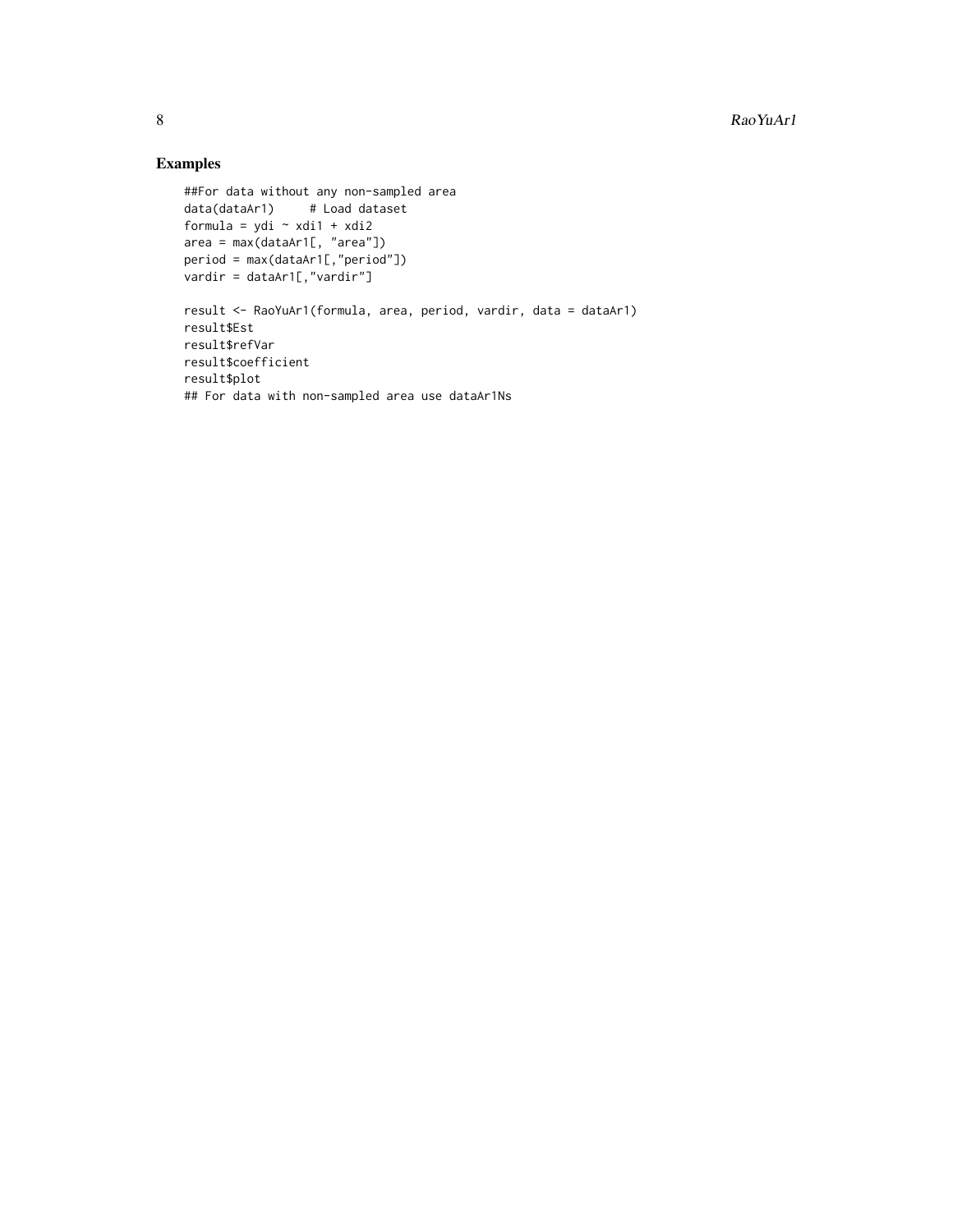# Examples

```
##For data without any non-sampled area
data(dataAr1) # Load dataset
formula = ydi ~ xdi1 + xdi2
area = max(dataAr1[, "area"])
period = max(dataAr1[,"period"])
vardir = dataAr1[,"vardir"]
result <- RaoYuAr1(formula, area, period, vardir, data = dataAr1)
result$Est
result$refVar
result$coefficient
result$plot
## For data with non-sampled area use dataAr1Ns
```